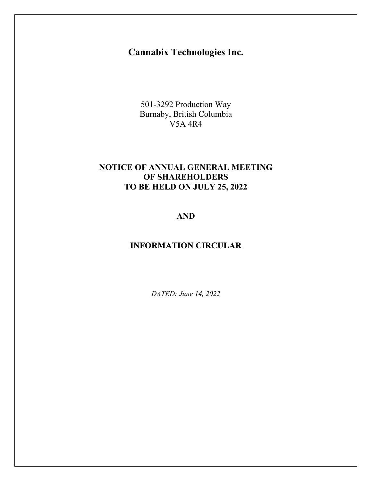# **Cannabix Technologies Inc.**

501-3292 Production Way Burnaby, British Columbia V5A 4R4

# **NOTICE OF ANNUAL GENERAL MEETING OF SHAREHOLDERS TO BE HELD ON JULY 25, 2022**

# **AND**

# **INFORMATION CIRCULAR**

*DATED: June 14, 2022*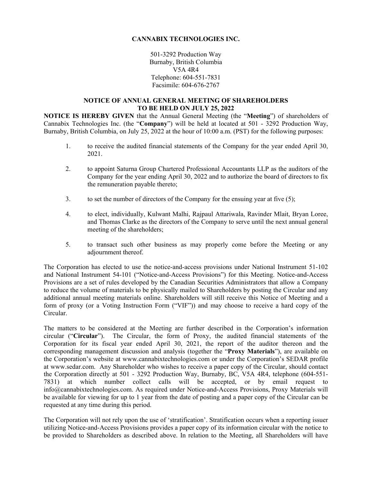# **CANNABIX TECHNOLOGIES INC.**

501-3292 Production Way Burnaby, British Columbia V5A 4R4 Telephone: 604-551-7831 Facsimile: 604-676-2767

#### **NOTICE OF ANNUAL GENERAL MEETING OF SHAREHOLDERS TO BE HELD ON JULY 25, 2022**

**NOTICE IS HEREBY GIVEN** that the Annual General Meeting (the "**Meeting**") of shareholders of Cannabix Technologies Inc. (the "**Company**") will be held at located at 501 - 3292 Production Way, Burnaby, British Columbia, on July 25, 2022 at the hour of 10:00 a.m. (PST) for the following purposes:

- 1. to receive the audited financial statements of the Company for the year ended April 30, 2021.
- 2. to appoint Saturna Group Chartered Professional Accountants LLP as the auditors of the Company for the year ending April 30, 2022 and to authorize the board of directors to fix the remuneration payable thereto;
- 3. to set the number of directors of the Company for the ensuing year at five (5);
- 4. to elect, individually, Kulwant Malhi, Rajpaul Attariwala, Ravinder Mlait, Bryan Loree, and Thomas Clarke as the directors of the Company to serve until the next annual general meeting of the shareholders;
- 5. to transact such other business as may properly come before the Meeting or any adjournment thereof.

The Corporation has elected to use the notice-and-access provisions under National Instrument 51-102 and National Instrument 54-101 ("Notice-and-Access Provisions") for this Meeting. Notice-and-Access Provisions are a set of rules developed by the Canadian Securities Administrators that allow a Company to reduce the volume of materials to be physically mailed to Shareholders by posting the Circular and any additional annual meeting materials online. Shareholders will still receive this Notice of Meeting and a form of proxy (or a Voting Instruction Form ("VIF")) and may choose to receive a hard copy of the Circular.

The matters to be considered at the Meeting are further described in the Corporation's information circular ("**Circular**"). The Circular, the form of Proxy, the audited financial statements of the Corporation for its fiscal year ended April 30, 2021, the report of the auditor thereon and the corresponding management discussion and analysis (together the "**Proxy Materials**"), are available on the Corporation's website at www.cannabixtechnologies.com or under the Corporation's SEDAR profile at www.sedar.com. Any Shareholder who wishes to receive a paper copy of the Circular, should contact the Corporation directly at 501 - 3292 Production Way, Burnaby, BC, V5A 4R4, telephone (604-551- 7831) at which number collect calls will be accepted, or by email request to info@cannabixtechnologies.com. As required under Notice-and-Access Provisions, Proxy Materials will be available for viewing for up to 1 year from the date of posting and a paper copy of the Circular can be requested at any time during this period.

The Corporation will not rely upon the use of 'stratification'. Stratification occurs when a reporting issuer utilizing Notice-and-Access Provisions provides a paper copy of its information circular with the notice to be provided to Shareholders as described above. In relation to the Meeting, all Shareholders will have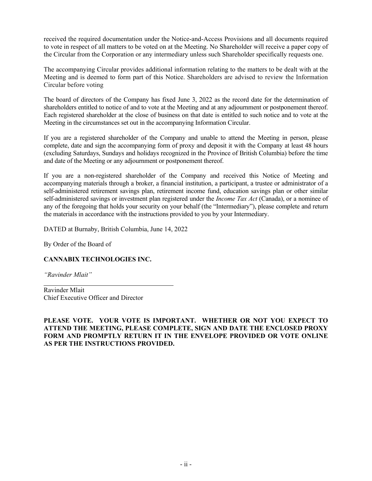received the required documentation under the Notice-and-Access Provisions and all documents required to vote in respect of all matters to be voted on at the Meeting. No Shareholder will receive a paper copy of the Circular from the Corporation or any intermediary unless such Shareholder specifically requests one.

The accompanying Circular provides additional information relating to the matters to be dealt with at the Meeting and is deemed to form part of this Notice. Shareholders are advised to review the Information Circular before voting

The board of directors of the Company has fixed June 3, 2022 as the record date for the determination of shareholders entitled to notice of and to vote at the Meeting and at any adjournment or postponement thereof. Each registered shareholder at the close of business on that date is entitled to such notice and to vote at the Meeting in the circumstances set out in the accompanying Information Circular.

If you are a registered shareholder of the Company and unable to attend the Meeting in person, please complete, date and sign the accompanying form of proxy and deposit it with the Company at least 48 hours (excluding Saturdays, Sundays and holidays recognized in the Province of British Columbia) before the time and date of the Meeting or any adjournment or postponement thereof.

If you are a non-registered shareholder of the Company and received this Notice of Meeting and accompanying materials through a broker, a financial institution, a participant, a trustee or administrator of a self-administered retirement savings plan, retirement income fund, education savings plan or other similar self-administered savings or investment plan registered under the *Income Tax Act* (Canada), or a nominee of any of the foregoing that holds your security on your behalf (the "Intermediary"), please complete and return the materials in accordance with the instructions provided to you by your Intermediary.

DATED at Burnaby, British Columbia, June 14, 2022

By Order of the Board of

# **CANNABIX TECHNOLOGIES INC.**

*"Ravinder Mlait"*

Ravinder Mlait Chief Executive Officer and Director

# **PLEASE VOTE. YOUR VOTE IS IMPORTANT. WHETHER OR NOT YOU EXPECT TO ATTEND THE MEETING, PLEASE COMPLETE, SIGN AND DATE THE ENCLOSED PROXY FORM AND PROMPTLY RETURN IT IN THE ENVELOPE PROVIDED OR VOTE ONLINE AS PER THE INSTRUCTIONS PROVIDED.**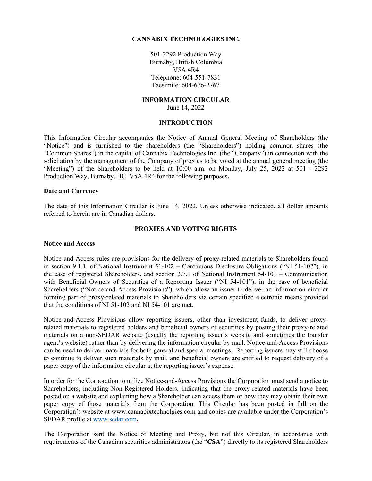#### **CANNABIX TECHNOLOGIES INC.**

501-3292 Production Way Burnaby, British Columbia V5A 4R4 Telephone: 604-551-7831 Facsimile: 604-676-2767

#### **INFORMATION CIRCULAR** June 14, 2022

#### **INTRODUCTION**

This Information Circular accompanies the Notice of Annual General Meeting of Shareholders (the "Notice") and is furnished to the shareholders (the "Shareholders") holding common shares (the "Common Shares") in the capital of Cannabix Technologies Inc. (the "Company") in connection with the solicitation by the management of the Company of proxies to be voted at the annual general meeting (the "Meeting") of the Shareholders to be held at  $10:00$  a.m. on Monday, July 25, 2022 at  $501 - 3292$ Production Way, Burnaby, BC V5A 4R4 for the following purposes**.**

#### **Date and Currency**

The date of this Information Circular is June 14, 2022. Unless otherwise indicated, all dollar amounts referred to herein are in Canadian dollars.

#### **PROXIES AND VOTING RIGHTS**

#### **Notice and Access**

Notice-and-Access rules are provisions for the delivery of proxy-related materials to Shareholders found in section 9.1.1. of National Instrument 51-102 – Continuous Disclosure Obligations ("NI 51-102"), in the case of registered Shareholders, and section 2.7.1 of National Instrument 54-101 – Communication with Beneficial Owners of Securities of a Reporting Issuer ("NI 54-101"), in the case of beneficial Shareholders ("Notice-and-Access Provisions"), which allow an issuer to deliver an information circular forming part of proxy-related materials to Shareholders via certain specified electronic means provided that the conditions of NI 51-102 and NI 54-101 are met.

Notice-and-Access Provisions allow reporting issuers, other than investment funds, to deliver proxyrelated materials to registered holders and beneficial owners of securities by posting their proxy-related materials on a non-SEDAR website (usually the reporting issuer's website and sometimes the transfer agent's website) rather than by delivering the information circular by mail. Notice-and-Access Provisions can be used to deliver materials for both general and special meetings. Reporting issuers may still choose to continue to deliver such materials by mail, and beneficial owners are entitled to request delivery of a paper copy of the information circular at the reporting issuer's expense.

In order for the Corporation to utilize Notice-and-Access Provisions the Corporation must send a notice to Shareholders, including Non-Registered Holders, indicating that the proxy-related materials have been posted on a website and explaining how a Shareholder can access them or how they may obtain their own paper copy of those materials from the Corporation. This Circular has been posted in full on the Corporation's website at www.cannabixtechnolgies.com and copies are available under the Corporation's SEDAR profile at [www.sedar.com.](http://www.sedar.com/)

The Corporation sent the Notice of Meeting and Proxy, but not this Circular, in accordance with requirements of the Canadian securities administrators (the "**CSA**") directly to its registered Shareholders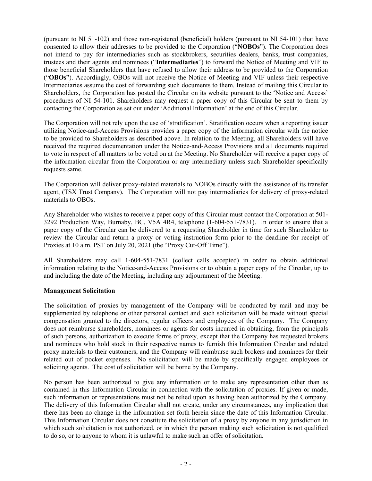(pursuant to NI 51-102) and those non-registered (beneficial) holders (pursuant to NI 54-101) that have consented to allow their addresses to be provided to the Corporation ("**NOBOs**"). The Corporation does not intend to pay for intermediaries such as stockbrokers, securities dealers, banks, trust companies, trustees and their agents and nominees ("**Intermediaries**") to forward the Notice of Meeting and VIF to those beneficial Shareholders that have refused to allow their address to be provided to the Corporation ("**OBOs**"). Accordingly, OBOs will not receive the Notice of Meeting and VIF unless their respective Intermediaries assume the cost of forwarding such documents to them. Instead of mailing this Circular to Shareholders, the Corporation has posted the Circular on its website pursuant to the 'Notice and Access' procedures of NI 54-101. Shareholders may request a paper copy of this Circular be sent to them by contacting the Corporation as set out under 'Additional Information' at the end of this Circular.

The Corporation will not rely upon the use of 'stratification'. Stratification occurs when a reporting issuer utilizing Notice-and-Access Provisions provides a paper copy of the information circular with the notice to be provided to Shareholders as described above. In relation to the Meeting, all Shareholders will have received the required documentation under the Notice-and-Access Provisions and all documents required to vote in respect of all matters to be voted on at the Meeting. No Shareholder will receive a paper copy of the information circular from the Corporation or any intermediary unless such Shareholder specifically requests same.

The Corporation will deliver proxy-related materials to NOBOs directly with the assistance of its transfer agent, (TSX Trust Company). The Corporation will not pay intermediaries for delivery of proxy-related materials to OBOs.

Any Shareholder who wishes to receive a paper copy of this Circular must contact the Corporation at 501- 3292 Production Way, Burnaby, BC, V5A 4R4, telephone (1-604-551-7831). In order to ensure that a paper copy of the Circular can be delivered to a requesting Shareholder in time for such Shareholder to review the Circular and return a proxy or voting instruction form prior to the deadline for receipt of Proxies at 10 a.m. PST on July 20, 2021 (the "Proxy Cut-Off Time").

All Shareholders may call 1-604-551-7831 (collect calls accepted) in order to obtain additional information relating to the Notice-and-Access Provisions or to obtain a paper copy of the Circular, up to and including the date of the Meeting, including any adjournment of the Meeting.

# **Management Solicitation**

The solicitation of proxies by management of the Company will be conducted by mail and may be supplemented by telephone or other personal contact and such solicitation will be made without special compensation granted to the directors, regular officers and employees of the Company. The Company does not reimburse shareholders, nominees or agents for costs incurred in obtaining, from the principals of such persons, authorization to execute forms of proxy, except that the Company has requested brokers and nominees who hold stock in their respective names to furnish this Information Circular and related proxy materials to their customers, and the Company will reimburse such brokers and nominees for their related out of pocket expenses. No solicitation will be made by specifically engaged employees or soliciting agents. The cost of solicitation will be borne by the Company.

No person has been authorized to give any information or to make any representation other than as contained in this Information Circular in connection with the solicitation of proxies. If given or made, such information or representations must not be relied upon as having been authorized by the Company. The delivery of this Information Circular shall not create, under any circumstances, any implication that there has been no change in the information set forth herein since the date of this Information Circular. This Information Circular does not constitute the solicitation of a proxy by anyone in any jurisdiction in which such solicitation is not authorized, or in which the person making such solicitation is not qualified to do so, or to anyone to whom it is unlawful to make such an offer of solicitation.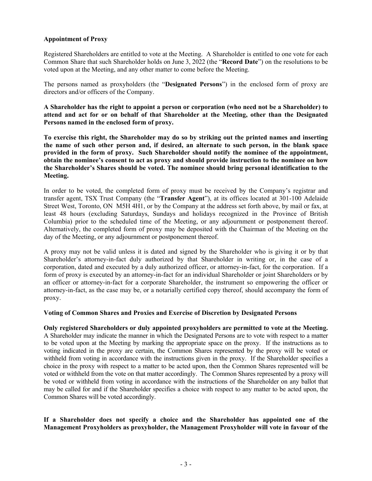# **Appointment of Proxy**

Registered Shareholders are entitled to vote at the Meeting. A Shareholder is entitled to one vote for each Common Share that such Shareholder holds on June 3, 2022 (the "**Record Date**") on the resolutions to be voted upon at the Meeting, and any other matter to come before the Meeting.

The persons named as proxyholders (the "**Designated Persons**") in the enclosed form of proxy are directors and/or officers of the Company.

**A Shareholder has the right to appoint a person or corporation (who need not be a Shareholder) to attend and act for or on behalf of that Shareholder at the Meeting, other than the Designated Persons named in the enclosed form of proxy.** 

**To exercise this right, the Shareholder may do so by striking out the printed names and inserting the name of such other person and, if desired, an alternate to such person, in the blank space provided in the form of proxy. Such Shareholder should notify the nominee of the appointment, obtain the nominee's consent to act as proxy and should provide instruction to the nominee on how the Shareholder's Shares should be voted. The nominee should bring personal identification to the Meeting.**

In order to be voted, the completed form of proxy must be received by the Company's registrar and transfer agent, TSX Trust Company (the "**Transfer Agent**"), at its offices located at 301-100 Adelaide Street West, Toronto, ON M5H 4H1, or by the Company at the address set forth above, by mail or fax, at least 48 hours (excluding Saturdays, Sundays and holidays recognized in the Province of British Columbia) prior to the scheduled time of the Meeting, or any adjournment or postponement thereof. Alternatively, the completed form of proxy may be deposited with the Chairman of the Meeting on the day of the Meeting, or any adjournment or postponement thereof.

A proxy may not be valid unless it is dated and signed by the Shareholder who is giving it or by that Shareholder's attorney-in-fact duly authorized by that Shareholder in writing or, in the case of a corporation, dated and executed by a duly authorized officer, or attorney-in-fact, for the corporation. If a form of proxy is executed by an attorney-in-fact for an individual Shareholder or joint Shareholders or by an officer or attorney-in-fact for a corporate Shareholder, the instrument so empowering the officer or attorney-in-fact, as the case may be, or a notarially certified copy thereof, should accompany the form of proxy.

# **Voting of Common Shares and Proxies and Exercise of Discretion by Designated Persons**

**Only registered Shareholders or duly appointed proxyholders are permitted to vote at the Meeting.** A Shareholder may indicate the manner in which the Designated Persons are to vote with respect to a matter to be voted upon at the Meeting by marking the appropriate space on the proxy. If the instructions as to voting indicated in the proxy are certain, the Common Shares represented by the proxy will be voted or withheld from voting in accordance with the instructions given in the proxy. If the Shareholder specifies a choice in the proxy with respect to a matter to be acted upon, then the Common Shares represented will be voted or withheld from the vote on that matter accordingly. The Common Shares represented by a proxy will be voted or withheld from voting in accordance with the instructions of the Shareholder on any ballot that may be called for and if the Shareholder specifies a choice with respect to any matter to be acted upon, the Common Shares will be voted accordingly.

# **If a Shareholder does not specify a choice and the Shareholder has appointed one of the Management Proxyholders as proxyholder, the Management Proxyholder will vote in favour of the**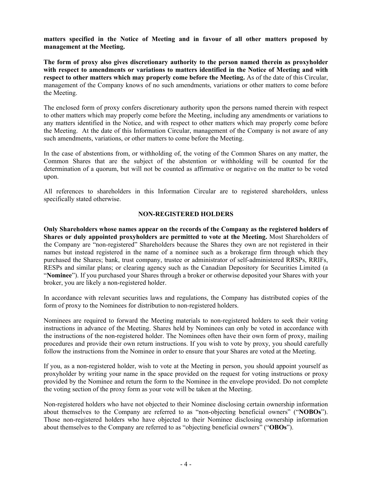**matters specified in the Notice of Meeting and in favour of all other matters proposed by management at the Meeting.** 

**The form of proxy also gives discretionary authority to the person named therein as proxyholder with respect to amendments or variations to matters identified in the Notice of Meeting and with respect to other matters which may properly come before the Meeting.** As of the date of this Circular, management of the Company knows of no such amendments, variations or other matters to come before the Meeting.

The enclosed form of proxy confers discretionary authority upon the persons named therein with respect to other matters which may properly come before the Meeting, including any amendments or variations to any matters identified in the Notice, and with respect to other matters which may properly come before the Meeting. At the date of this Information Circular, management of the Company is not aware of any such amendments, variations, or other matters to come before the Meeting.

In the case of abstentions from, or withholding of, the voting of the Common Shares on any matter, the Common Shares that are the subject of the abstention or withholding will be counted for the determination of a quorum, but will not be counted as affirmative or negative on the matter to be voted upon.

All references to shareholders in this Information Circular are to registered shareholders, unless specifically stated otherwise.

# **NON-REGISTERED HOLDERS**

**Only Shareholders whose names appear on the records of the Company as the registered holders of Shares or duly appointed proxyholders are permitted to vote at the Meeting.** Most Shareholders of the Company are "non-registered" Shareholders because the Shares they own are not registered in their names but instead registered in the name of a nominee such as a brokerage firm through which they purchased the Shares; bank, trust company, trustee or administrator of self-administered RRSPs, RRIFs, RESPs and similar plans; or clearing agency such as the Canadian Depository for Securities Limited (a "**Nominee**"). If you purchased your Shares through a broker or otherwise deposited your Shares with your broker, you are likely a non-registered holder.

In accordance with relevant securities laws and regulations, the Company has distributed copies of the form of proxy to the Nominees for distribution to non-registered holders.

Nominees are required to forward the Meeting materials to non-registered holders to seek their voting instructions in advance of the Meeting. Shares held by Nominees can only be voted in accordance with the instructions of the non-registered holder. The Nominees often have their own form of proxy, mailing procedures and provide their own return instructions. If you wish to vote by proxy, you should carefully follow the instructions from the Nominee in order to ensure that your Shares are voted at the Meeting.

If you, as a non-registered holder, wish to vote at the Meeting in person, you should appoint yourself as proxyholder by writing your name in the space provided on the request for voting instructions or proxy provided by the Nominee and return the form to the Nominee in the envelope provided. Do not complete the voting section of the proxy form as your vote will be taken at the Meeting.

Non-registered holders who have not objected to their Nominee disclosing certain ownership information about themselves to the Company are referred to as "non-objecting beneficial owners" ("**NOBOs**"). Those non-registered holders who have objected to their Nominee disclosing ownership information about themselves to the Company are referred to as "objecting beneficial owners" ("**OBOs**").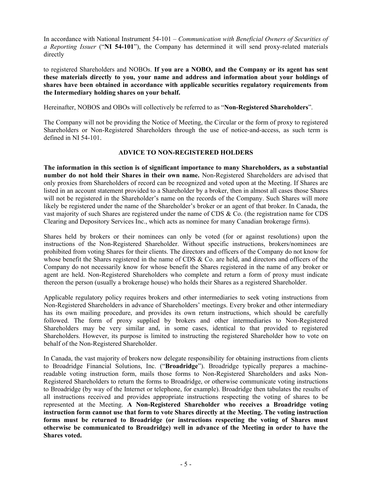In accordance with National Instrument 54-101 – *Communication with Beneficial Owners of Securities of a Reporting Issuer* ("**NI 54-101**"), the Company has determined it will send proxy-related materials directly

to registered Shareholders and NOBOs. **If you are a NOBO, and the Company or its agent has sent these materials directly to you, your name and address and information about your holdings of shares have been obtained in accordance with applicable securities regulatory requirements from the Intermediary holding shares on your behalf.**

Hereinafter, NOBOS and OBOs will collectively be referred to as "**Non-Registered Shareholders**".

The Company will not be providing the Notice of Meeting, the Circular or the form of proxy to registered Shareholders or Non-Registered Shareholders through the use of notice-and-access, as such term is defined in NI 54-101.

# **ADVICE TO NON-REGISTERED HOLDERS**

**The information in this section is of significant importance to many Shareholders, as a substantial number do not hold their Shares in their own name.** Non-Registered Shareholders are advised that only proxies from Shareholders of record can be recognized and voted upon at the Meeting. If Shares are listed in an account statement provided to a Shareholder by a broker, then in almost all cases those Shares will not be registered in the Shareholder's name on the records of the Company. Such Shares will more likely be registered under the name of the Shareholder's broker or an agent of that broker. In Canada, the vast majority of such Shares are registered under the name of CDS & Co. (the registration name for CDS Clearing and Depository Services Inc., which acts as nominee for many Canadian brokerage firms).

Shares held by brokers or their nominees can only be voted (for or against resolutions) upon the instructions of the Non-Registered Shareholder. Without specific instructions, brokers/nominees are prohibited from voting Shares for their clients. The directors and officers of the Company do not know for whose benefit the Shares registered in the name of CDS & Co. are held, and directors and officers of the Company do not necessarily know for whose benefit the Shares registered in the name of any broker or agent are held. Non-Registered Shareholders who complete and return a form of proxy must indicate thereon the person (usually a brokerage house) who holds their Shares as a registered Shareholder.

Applicable regulatory policy requires brokers and other intermediaries to seek voting instructions from Non-Registered Shareholders in advance of Shareholders' meetings. Every broker and other intermediary has its own mailing procedure, and provides its own return instructions, which should be carefully followed. The form of proxy supplied by brokers and other intermediaries to Non-Registered Shareholders may be very similar and, in some cases, identical to that provided to registered Shareholders. However, its purpose is limited to instructing the registered Shareholder how to vote on behalf of the Non-Registered Shareholder.

In Canada, the vast majority of brokers now delegate responsibility for obtaining instructions from clients to Broadridge Financial Solutions, Inc. ("**Broadridge**"). Broadridge typically prepares a machinereadable voting instruction form, mails those forms to Non-Registered Shareholders and asks Non-Registered Shareholders to return the forms to Broadridge, or otherwise communicate voting instructions to Broadridge (by way of the Internet or telephone, for example). Broadridge then tabulates the results of all instructions received and provides appropriate instructions respecting the voting of shares to be represented at the Meeting. **A Non-Registered Shareholder who receives a Broadridge voting instruction form cannot use that form to vote Shares directly at the Meeting. The voting instruction forms must be returned to Broadridge (or instructions respecting the voting of Shares must otherwise be communicated to Broadridge) well in advance of the Meeting in order to have the Shares voted.**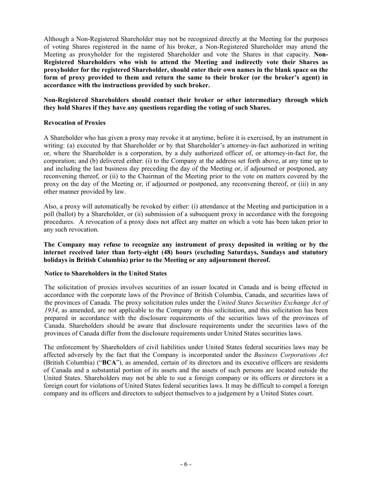Although a Non-Registered Shareholder may not be recognized directly at the Meeting for the purposes of voting Shares registered in the name of his broker, a Non-Registered Shareholder may attend the Meeting as proxyholder for the registered Shareholder and vote the Shares in that capacity. **Non-Registered Shareholders who wish to attend the Meeting and indirectly vote their Shares as proxyholder for the registered Shareholder, should enter their own names in the blank space on the form of proxy provided to them and return the same to their broker (or the broker's agent) in accordance with the instructions provided by such broker.** 

**Non-Registered Shareholders should contact their broker or other intermediary through which they hold Shares if they have any questions regarding the voting of such Shares.**

## **Revocation of Proxies**

A Shareholder who has given a proxy may revoke it at anytime, before it is exercised, by an instrument in writing: (a) executed by that Shareholder or by that Shareholder's attorney-in-fact authorized in writing or, where the Shareholder is a corporation, by a duly authorized officer of, or attorney-in-fact for, the corporation; and (b) delivered either: (i) to the Company at the address set forth above, at any time up to and including the last business day preceding the day of the Meeting or, if adjourned or postponed, any reconvening thereof, or (ii) to the Chairman of the Meeting prior to the vote on matters covered by the proxy on the day of the Meeting or, if adjourned or postponed, any reconvening thereof, or (iii) in any other manner provided by law.

Also, a proxy will automatically be revoked by either: (i) attendance at the Meeting and participation in a poll (ballot) by a Shareholder, or (ii) submission of a subsequent proxy in accordance with the foregoing procedures. A revocation of a proxy does not affect any matter on which a vote has been taken prior to any such revocation.

**The Company may refuse to recognize any instrument of proxy deposited in writing or by the internet received later than forty-eight (48) hours (excluding Saturdays, Sundays and statutory holidays in British Columbia) prior to the Meeting or any adjournment thereof.**

# **Notice to Shareholders in the United States**

The solicitation of proxies involves securities of an issuer located in Canada and is being effected in accordance with the corporate laws of the Province of British Columbia, Canada, and securities laws of the provinces of Canada. The proxy solicitation rules under the *United States Securities Exchange Act of 1934*, as amended, are not applicable to the Company or this solicitation, and this solicitation has been prepared in accordance with the disclosure requirements of the securities laws of the provinces of Canada. Shareholders should be aware that disclosure requirements under the securities laws of the provinces of Canada differ from the disclosure requirements under United States securities laws.

The enforcement by Shareholders of civil liabilities under United States federal securities laws may be affected adversely by the fact that the Company is incorporated under the *Business Corporations Act* (British Columbia) ("**BCA**"), as amended, certain of its directors and its executive officers are residents of Canada and a substantial portion of its assets and the assets of such persons are located outside the United States. Shareholders may not be able to sue a foreign company or its officers or directors in a foreign court for violations of United States federal securities laws. It may be difficult to compel a foreign company and its officers and directors to subject themselves to a judgement by a United States court.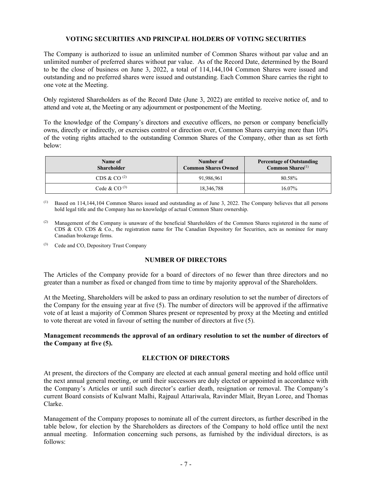# **VOTING SECURITIES AND PRINCIPAL HOLDERS OF VOTING SECURITIES**

The Company is authorized to issue an unlimited number of Common Shares without par value and an unlimited number of preferred shares without par value. As of the Record Date, determined by the Board to be the close of business on June 3, 2022, a total of 114,144,104 Common Shares were issued and outstanding and no preferred shares were issued and outstanding. Each Common Share carries the right to one vote at the Meeting.

Only registered Shareholders as of the Record Date (June 3, 2022) are entitled to receive notice of, and to attend and vote at, the Meeting or any adjournment or postponement of the Meeting.

To the knowledge of the Company's directors and executive officers, no person or company beneficially owns, directly or indirectly, or exercises control or direction over, Common Shares carrying more than 10% of the voting rights attached to the outstanding Common Shares of the Company, other than as set forth below:

| <b>Name of</b><br><b>Shareholder</b> | Number of<br><b>Common Shares Owned</b> | <b>Percentage of Outstanding</b><br>Common Shares <sup>(1)</sup> |
|--------------------------------------|-----------------------------------------|------------------------------------------------------------------|
| CDS & CO $^{(2)}$                    | 91,986,961                              | 80.58%                                                           |
| Cede & CO $^{(3)}$                   | 18,346,788                              | $16.07\%$                                                        |

 $<sup>(1)</sup>$  Based on 114,144,104 Common Shares issued and outstanding as of June 3, 2022. The Company believes that all persons</sup> hold legal title and the Company has no knowledge of actual Common Share ownership.

- (2) Management of the Company is unaware of the beneficial Shareholders of the Common Shares registered in the name of CDS & CO. CDS & Co., the registration name for The Canadian Depository for Securities, acts as nominee for many Canadian brokerage firms.
- (3) Cede and CO, Depository Trust Company

# **NUMBER OF DIRECTORS**

The Articles of the Company provide for a board of directors of no fewer than three directors and no greater than a number as fixed or changed from time to time by majority approval of the Shareholders.

At the Meeting, Shareholders will be asked to pass an ordinary resolution to set the number of directors of the Company for the ensuing year at five (5). The number of directors will be approved if the affirmative vote of at least a majority of Common Shares present or represented by proxy at the Meeting and entitled to vote thereat are voted in favour of setting the number of directors at five (5).

# **Management recommends the approval of an ordinary resolution to set the number of directors of the Company at five (5).**

# **ELECTION OF DIRECTORS**

At present, the directors of the Company are elected at each annual general meeting and hold office until the next annual general meeting, or until their successors are duly elected or appointed in accordance with the Company's Articles or until such director's earlier death, resignation or removal. The Company's current Board consists of Kulwant Malhi, Rajpaul Attariwala, Ravinder Mlait, Bryan Loree, and Thomas Clarke.

Management of the Company proposes to nominate all of the current directors, as further described in the table below, for election by the Shareholders as directors of the Company to hold office until the next annual meeting. Information concerning such persons, as furnished by the individual directors, is as follows: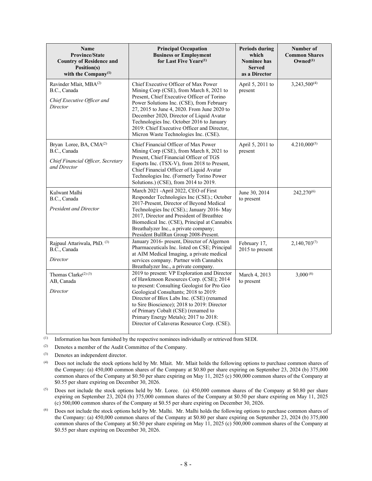| Name<br><b>Province/State</b><br><b>Country of Residence and</b><br>Position(s)<br>with the Company <sup>(1)</sup> | <b>Principal Occupation</b><br><b>Business or Employment</b><br>for Last Five Years <sup>(1)</sup>                                                                                                                                                                                                                                                                                                          | <b>Periods during</b><br>which<br><b>Nominee has</b><br><b>Served</b><br>as a Director | Number of<br><b>Common Shares</b><br>$Qwned^{(1)}$ |
|--------------------------------------------------------------------------------------------------------------------|-------------------------------------------------------------------------------------------------------------------------------------------------------------------------------------------------------------------------------------------------------------------------------------------------------------------------------------------------------------------------------------------------------------|----------------------------------------------------------------------------------------|----------------------------------------------------|
| Ravinder Mlait, MBA(2)<br>B.C., Canada<br>Chief Executive Officer and<br>Director                                  | Chief Executive Officer of Max Power<br>Mining Corp (CSE), from March 8, 2021 to<br>Present, Chief Executive Officer of Torino<br>Power Solutions Inc. (CSE), from February<br>27, 2015 to June 4, 2020. From June 2020 to<br>December 2020, Director of Liquid Avatar<br>Technologies Inc. October 2016 to January<br>2019: Chief Executive Officer and Director,<br>Micron Waste Technologies Inc. (CSE). | April 5, 2011 to<br>present                                                            | 3,243,500 <sup>(4)</sup>                           |
| Bryan Loree, BA, CMA <sup>(2)</sup><br>B.C., Canada<br>Chief Financial Officer, Secretary<br>and Director          | Chief Financial Officer of Max Power<br>Mining Corp (CSE), from March 8, 2021 to<br>Present, Chief Financial Officer of TGS<br>Esports Inc. (TSX-V), from 2018 to Present,<br>Chief Financial Officer of Liquid Avatar<br>Technologies Inc. (Formerly Torino Power<br>Solutions.) (CSE), from 2014 to 2019.                                                                                                 | April 5, 2011 to<br>present                                                            | $4.210,000^{(5)}$                                  |
| Kulwant Malhi<br>B.C., Canada<br><b>President and Director</b>                                                     | March 2021 -April 2022, CEO of First<br>Responder Technologies Inc (CSE).; October<br>2017-Present, Director of Beyond Medical<br>Technologies Inc (CSE).; January 2016- May<br>2017, Director and President of Breathtec<br>Biomedical Inc. (CSE), Principal at Cannabix<br>Breathalyzer Inc., a private company;<br>President BullRun Group 2008-Present.                                                 | June 30, 2014<br>to present                                                            | 242,270 <sup>(6)</sup>                             |
| Rajpaul Attariwala, PhD. (3)<br>B.C., Canada<br>Director                                                           | January 2016- present, Director of Algernon<br>Pharmaceuticals Inc. listed on CSE; Principal<br>at AIM Medical Imaging, a private medical<br>services company. Partner with Cannabix<br>Breathalyzer Inc., a private company.                                                                                                                                                                               | February 17,<br>2015 to present                                                        | $2,140,703^{(7)}$                                  |
| Thomas Clarke <sup>(2)(3)</sup><br>AB, Canada<br>Director                                                          | 2019 to present: VP Exploration and Director<br>of Hawkmoon Resources Corp. (CSE); 2014<br>to present: Consulting Geologist for Pro Geo<br>Geological Consultants; 2018 to 2019:<br>Director of Blox Labs Inc. (CSE) (renamed<br>to Sire Bioscience); 2018 to 2019: Director<br>of Primary Cobalt (CSE) (renamed to<br>Primary Energy Metals); 2017 to 2018:<br>Director of Calaveras Resource Corp. (CSE). | March 4, 2013<br>to present                                                            | $3,000^{(8)}$                                      |

(1) Information has been furnished by the respective nominees individually or retrieved from SEDI.

(2) Denotes a member of the Audit Committee of the Company.

(3) Denotes an independent director.

- (4) Does not include the stock options held by Mr. Mlait. Mr. Mlait holds the following options to purchase common shares of the Company: (a) 450,000 common shares of the Company at \$0.80 per share expiring on September 23, 2024 (b) 375,000 common shares of the Company at \$0.50 per share expiring on May 11, 2025 (c) 500,000 common shares of the Company at \$0.55 per share expiring on December 30, 2026.
- (5) Does not include the stock options held by Mr. Loree. (a) 450,000 common shares of the Company at \$0.80 per share expiring on September 23, 2024 (b) 375,000 common shares of the Company at \$0.50 per share expiring on May 11, 2025 (c) 500,000 common shares of the Company at \$0.55 per share expiring on December 30, 2026.
- (6) Does not include the stock options held by Mr. Malhi. Mr. Malhi holds the following options to purchase common shares of the Company: (a) 450,000 common shares of the Company at \$0.80 per share expiring on September 23, 2024 (b) 375,000 common shares of the Company at \$0.50 per share expiring on May 11, 2025 (c) 500,000 common shares of the Company at \$0.55 per share expiring on December 30, 2026.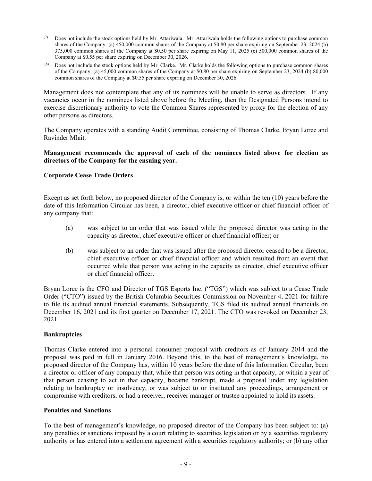- ( $7$ ) Does not include the stock options held by Mr. Attariwala. Mr. Attariwala holds the following options to purchase common shares of the Company: (a) 450,000 common shares of the Company at \$0.80 per share expiring on September 23, 2024 (b) 375,000 common shares of the Company at \$0.50 per share expiring on May 11, 2025 (c) 500,000 common shares of the Company at \$0.55 per share expiring on December 30, 2026.
- (8) Does not include the stock options held by Mr. Clarke. Mr. Clarke holds the following options to purchase common shares of the Company: (a) 45,000 common shares of the Company at \$0.80 per share expiring on September 23, 2024 (b) 80,000 common shares of the Company at \$0.55 per share expiring on December 30, 2026.

Management does not contemplate that any of its nominees will be unable to serve as directors. If any vacancies occur in the nominees listed above before the Meeting, then the Designated Persons intend to exercise discretionary authority to vote the Common Shares represented by proxy for the election of any other persons as directors.

The Company operates with a standing Audit Committee, consisting of Thomas Clarke, Bryan Loree and Ravinder Mlait.

# **Management recommends the approval of each of the nominees listed above for election as directors of the Company for the ensuing year.**

# **Corporate Cease Trade Orders**

Except as set forth below, no proposed director of the Company is, or within the ten (10) years before the date of this Information Circular has been, a director, chief executive officer or chief financial officer of any company that:

- (a) was subject to an order that was issued while the proposed director was acting in the capacity as director, chief executive officer or chief financial officer; or
- (b) was subject to an order that was issued after the proposed director ceased to be a director, chief executive officer or chief financial officer and which resulted from an event that occurred while that person was acting in the capacity as director, chief executive officer or chief financial officer.

Bryan Loree is the CFO and Director of TGS Esports Inc. ("TGS") which was subject to a Cease Trade Order ("CTO") issued by the British Columbia Securities Commission on November 4, 2021 for failure to file its audited annual financial statements. Subsequently, TGS filed its audited annual financials on December 16, 2021 and its first quarter on December 17, 2021. The CTO was revoked on December 23, 2021.

# **Bankruptcies**

Thomas Clarke entered into a personal consumer proposal with creditors as of January 2014 and the proposal was paid in full in January 2016. Beyond this, to the best of management's knowledge, no proposed director of the Company has, within 10 years before the date of this Information Circular, been a director or officer of any company that, while that person was acting in that capacity, or within a year of that person ceasing to act in that capacity, became bankrupt, made a proposal under any legislation relating to bankruptcy or insolvency, or was subject to or instituted any proceedings, arrangement or compromise with creditors, or had a receiver, receiver manager or trustee appointed to hold its assets.

#### **Penalties and Sanctions**

To the best of management's knowledge, no proposed director of the Company has been subject to: (a) any penalties or sanctions imposed by a court relating to securities legislation or by a securities regulatory authority or has entered into a settlement agreement with a securities regulatory authority; or (b) any other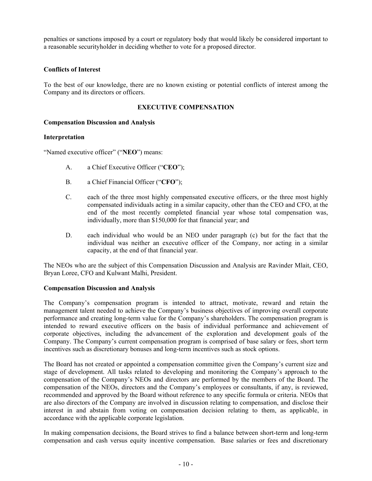penalties or sanctions imposed by a court or regulatory body that would likely be considered important to a reasonable securityholder in deciding whether to vote for a proposed director.

# **Conflicts of Interest**

To the best of our knowledge, there are no known existing or potential conflicts of interest among the Company and its directors or officers.

# **EXECUTIVE COMPENSATION**

# **Compensation Discussion and Analysis**

# **Interpretation**

"Named executive officer" ("**NEO**") means:

- A. a Chief Executive Officer ("**CEO**");
- B. a Chief Financial Officer ("**CFO**");
- C. each of the three most highly compensated executive officers, or the three most highly compensated individuals acting in a similar capacity, other than the CEO and CFO, at the end of the most recently completed financial year whose total compensation was, individually, more than \$150,000 for that financial year; and
- D. each individual who would be an NEO under paragraph (c) but for the fact that the individual was neither an executive officer of the Company, nor acting in a similar capacity, at the end of that financial year.

The NEOs who are the subject of this Compensation Discussion and Analysis are Ravinder Mlait, CEO, Bryan Loree, CFO and Kulwant Malhi, President.

# **Compensation Discussion and Analysis**

The Company's compensation program is intended to attract, motivate, reward and retain the management talent needed to achieve the Company's business objectives of improving overall corporate performance and creating long-term value for the Company's shareholders. The compensation program is intended to reward executive officers on the basis of individual performance and achievement of corporate objectives, including the advancement of the exploration and development goals of the Company. The Company's current compensation program is comprised of base salary or fees, short term incentives such as discretionary bonuses and long-term incentives such as stock options.

The Board has not created or appointed a compensation committee given the Company's current size and stage of development. All tasks related to developing and monitoring the Company's approach to the compensation of the Company's NEOs and directors are performed by the members of the Board. The compensation of the NEOs, directors and the Company's employees or consultants, if any, is reviewed, recommended and approved by the Board without reference to any specific formula or criteria. NEOs that are also directors of the Company are involved in discussion relating to compensation, and disclose their interest in and abstain from voting on compensation decision relating to them, as applicable, in accordance with the applicable corporate legislation.

In making compensation decisions, the Board strives to find a balance between short-term and long-term compensation and cash versus equity incentive compensation. Base salaries or fees and discretionary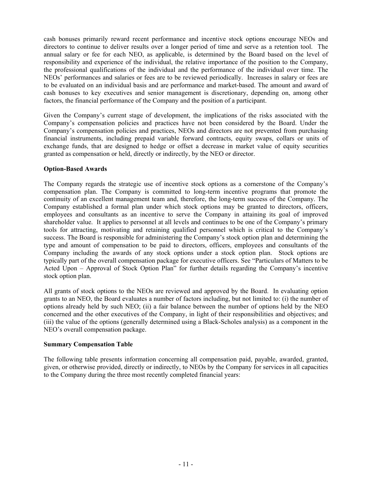cash bonuses primarily reward recent performance and incentive stock options encourage NEOs and directors to continue to deliver results over a longer period of time and serve as a retention tool. The annual salary or fee for each NEO, as applicable, is determined by the Board based on the level of responsibility and experience of the individual, the relative importance of the position to the Company, the professional qualifications of the individual and the performance of the individual over time. The NEOs' performances and salaries or fees are to be reviewed periodically. Increases in salary or fees are to be evaluated on an individual basis and are performance and market-based. The amount and award of cash bonuses to key executives and senior management is discretionary, depending on, among other factors, the financial performance of the Company and the position of a participant.

Given the Company's current stage of development, the implications of the risks associated with the Company's compensation policies and practices have not been considered by the Board. Under the Company's compensation policies and practices, NEOs and directors are not prevented from purchasing financial instruments, including prepaid variable forward contracts, equity swaps, collars or units of exchange funds, that are designed to hedge or offset a decrease in market value of equity securities granted as compensation or held, directly or indirectly, by the NEO or director.

# **Option-Based Awards**

The Company regards the strategic use of incentive stock options as a cornerstone of the Company's compensation plan. The Company is committed to long-term incentive programs that promote the continuity of an excellent management team and, therefore, the long-term success of the Company. The Company established a formal plan under which stock options may be granted to directors, officers, employees and consultants as an incentive to serve the Company in attaining its goal of improved shareholder value. It applies to personnel at all levels and continues to be one of the Company's primary tools for attracting, motivating and retaining qualified personnel which is critical to the Company's success. The Board is responsible for administering the Company's stock option plan and determining the type and amount of compensation to be paid to directors, officers, employees and consultants of the Company including the awards of any stock options under a stock option plan. Stock options are typically part of the overall compensation package for executive officers. See "Particulars of Matters to be Acted Upon – Approval of Stock Option Plan" for further details regarding the Company's incentive stock option plan.

All grants of stock options to the NEOs are reviewed and approved by the Board. In evaluating option grants to an NEO, the Board evaluates a number of factors including, but not limited to: (i) the number of options already held by such NEO; (ii) a fair balance between the number of options held by the NEO concerned and the other executives of the Company, in light of their responsibilities and objectives; and (iii) the value of the options (generally determined using a Black-Scholes analysis) as a component in the NEO's overall compensation package.

# **Summary Compensation Table**

The following table presents information concerning all compensation paid, payable, awarded, granted, given, or otherwise provided, directly or indirectly, to NEOs by the Company for services in all capacities to the Company during the three most recently completed financial years: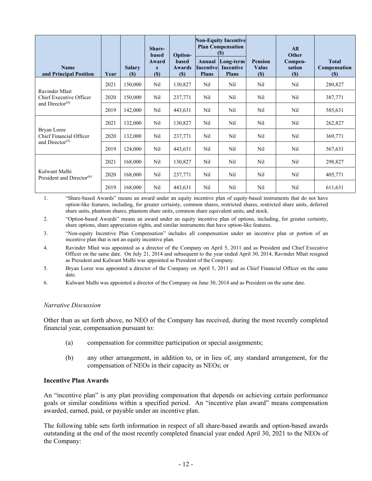|                                                                                    |      |                             | Share-<br><b>based</b> | Option-                       |                                            | <b>Non-Equity Incentive</b><br><b>Plan Compensation</b><br>(5) |                                   | <b>All</b><br>Other         |                                            |
|------------------------------------------------------------------------------------|------|-----------------------------|------------------------|-------------------------------|--------------------------------------------|----------------------------------------------------------------|-----------------------------------|-----------------------------|--------------------------------------------|
| <b>Name</b><br>and Principal Position                                              | Year | <b>Salary</b><br><b>(S)</b> | Award<br>S<br>$(\$)$   | based<br><b>Awards</b><br>(S) | Annual<br><b>Incentive</b><br><b>Plans</b> | Long-term<br>Incentive<br><b>Plans</b>                         | <b>Pension</b><br>Value<br>$(\$)$ | Compen-<br>sation<br>$(\$)$ | <b>Total</b><br>Compensation<br><b>(S)</b> |
|                                                                                    | 2021 | 150,000                     | Nil                    | 130,827                       | Nil                                        | Nil                                                            | Nil                               | Nil                         | 280,827                                    |
| Ravinder Mlait<br>Chief Executive Officer                                          | 2020 | 150,000                     | Nil                    | 237,771                       | Nil                                        | Nil                                                            | Nil                               | Nil                         | 387,771                                    |
| and Director $(4)$                                                                 | 2019 | 142,000                     | Nil                    | 443,631                       | Nil                                        | Nil                                                            | Nil                               | Nil                         | 585,631                                    |
| Bryan Loree<br>Chief Financial Officer<br>and Director <sup><math>(5)</math></sup> | 2021 | 132,000                     | Nil                    | 130,827                       | Nil                                        | Nil                                                            | Nil                               | Nil                         | 262,827                                    |
|                                                                                    | 2020 | 132,000                     | Nil                    | 237,771                       | Nil                                        | Nil                                                            | Nil                               | Nil                         | 369,771                                    |
|                                                                                    | 2019 | 124,000                     | Nil                    | 443,631                       | Nil                                        | Nil                                                            | Nil                               | Nil                         | 567,631                                    |
| Kulwant Malhi<br>President and Director <sup>(6)</sup>                             | 2021 | 168,000                     | Nil                    | 130,827                       | Nil                                        | Nil                                                            | Nil                               | Nil                         | 298,827                                    |
|                                                                                    | 2020 | 168,000                     | Nil                    | 237,771                       | Nil                                        | Nil                                                            | Nil                               | Nil                         | 405,771                                    |
|                                                                                    | 2019 | 168,000                     | Nil                    | 443,631                       | Nil                                        | Nil                                                            | Nil                               | Nil                         | 611,631                                    |

1. "Share-based Awards" means an award under an equity incentive plan of equity-based instruments that do not have option-like features, including, for greater certainty, common shares, restricted shares, restricted share units, deferred share units, phantom shares, phantom share units, common share equivalent units, and stock.

2. "Option-based Awards" means an award under an equity incentive plan of options, including, for greater certainty, share options, share appreciation rights, and similar instruments that have option-like features.

3. "Non-equity Incentive Plan Compensation" includes all compensation under an incentive plan or portion of an incentive plan that is not an equity incentive plan.

- 4. Ravinder Mlait was appointed as a director of the Company on April 5, 2011 and as President and Chief Executive Officer on the same date. On July 21, 2014 and subsequent to the year ended April 30, 2014, Ravinder Mlait resigned as President and Kulwant Malhi was appointed as President of the Company.
- 5. Bryan Loree was appointed a director of the Company on April 5, 2011 and as Chief Financial Officer on the same date.
- 6. Kulwant Malhi was appointed a director of the Company on June 30, 2014 and as President on the same date.

#### *Narrative Discussion*

Other than as set forth above, no NEO of the Company has received, during the most recently completed financial year, compensation pursuant to:

- (a) compensation for committee participation or special assignments;
- (b) any other arrangement, in addition to, or in lieu of, any standard arrangement, for the compensation of NEOs in their capacity as NEOs; or

# **Incentive Plan Awards**

An "incentive plan" is any plan providing compensation that depends on achieving certain performance goals or similar conditions within a specified period. An "incentive plan award" means compensation awarded, earned, paid, or payable under an incentive plan.

The following table sets forth information in respect of all share-based awards and option-based awards outstanding at the end of the most recently completed financial year ended April 30, 2021 to the NEOs of the Company: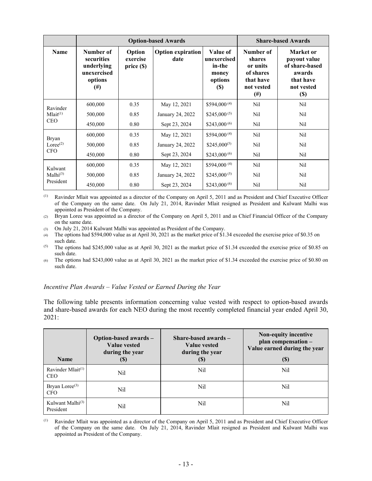|                      |                                                                             | <b>Option-based Awards</b>       |                                  |                                                                      | <b>Share-based Awards</b>                                                      |                                                                                            |
|----------------------|-----------------------------------------------------------------------------|----------------------------------|----------------------------------|----------------------------------------------------------------------|--------------------------------------------------------------------------------|--------------------------------------------------------------------------------------------|
| <b>Name</b>          | Number of<br>securities<br>underlying<br>unexercised<br>options<br>$^{(#)}$ | Option<br>exercise<br>price (\$) | <b>Option expiration</b><br>date | Value of<br>unexercised<br>in-the<br>money<br>options<br><b>(\$)</b> | Number of<br>shares<br>or units<br>of shares<br>that have<br>not vested<br>(#) | Market or<br>payout value<br>of share-based<br>awards<br>that have<br>not vested<br>$(\$)$ |
| Ravinder             | 600,000                                                                     | 0.35                             | May 12, 2021                     | $$594,000^{(4)}$                                                     | Nil                                                                            | Nil                                                                                        |
| Mlait <sup>(1)</sup> | 500,000                                                                     | 0.85                             | January 24, 2022                 | \$245,000 $(5)$                                                      | Nil                                                                            | Nil                                                                                        |
| <b>CEO</b>           | 450,000                                                                     | 0.80                             | Sept 23, 2024                    | $$243,000^{(6)}$                                                     | Nil                                                                            | Nil                                                                                        |
| <b>Bryan</b>         | 600,000                                                                     | 0.35                             | May 12, 2021                     | $$594,000^{(4)}$                                                     | Nil                                                                            | Nil                                                                                        |
| Loree <sup>(2)</sup> | 500,000                                                                     | 0.85                             | January 24, 2022                 | $$245,000^{(5)}$                                                     | Nil                                                                            | Nil                                                                                        |
| <b>CFO</b>           | 450,000                                                                     | 0.80                             | Sept 23, 2024                    | $$243,000^{(6)}$                                                     | Nil                                                                            | Nil                                                                                        |
| Kulwant              | 600,000                                                                     | 0.35                             | May 12, 2021                     | \$594,000 <sup>(4)</sup>                                             | Nil                                                                            | Nil                                                                                        |
| Malhi <sup>(3)</sup> | 500,000                                                                     | 0.85                             | January 24, 2022                 | \$245,000 <sup>(5)</sup>                                             | Nil                                                                            | Nil                                                                                        |
| President            | 450,000                                                                     | 0.80                             | Sept 23, 2024                    | $$243,000^{(6)}$                                                     | Nil                                                                            | Nil                                                                                        |

(1) Ravinder Mlait was appointed as a director of the Company on April 5, 2011 and as President and Chief Executive Officer of the Company on the same date. On July 21, 2014, Ravinder Mlait resigned as President and Kulwant Malhi was appointed as President of the Company.

(2) Bryan Loree was appointed as a director of the Company on April 5, 2011 and as Chief Financial Officer of the Company on the same date.

(3) On July 21, 2014 Kulwant Malhi was appointed as President of the Company.

- (4) The options had \$594,000 value as at April 30, 2021 as the market price of \$1.34 exceeded the exercise price of \$0.35 on such date.
- (5) The options had \$245,000 value as at April 30, 2021 as the market price of \$1.34 exceeded the exercise price of \$0.85 on such date.
- (6) The options had \$243,000 value as at April 30, 2021 as the market price of \$1.34 exceeded the exercise price of \$0.80 on such date.

#### *Incentive Plan Awards – Value Vested or Earned During the Year*

The following table presents information concerning value vested with respect to option-based awards and share-based awards for each NEO during the most recently completed financial year ended April 30, 2021:

| <b>Name</b>                              | Option-based awards -<br><b>Value vested</b><br>during the year<br>$\left( \mathbb{S}\right)$ | Share-based awards $-$<br>Value vested<br>during the year<br><b>(\$)</b> | Non-equity incentive<br>plan compensation -<br>Value earned during the year<br>$\left( \mathbb{S}\right)$ |
|------------------------------------------|-----------------------------------------------------------------------------------------------|--------------------------------------------------------------------------|-----------------------------------------------------------------------------------------------------------|
| Ravinder Mlait $(1)$<br><b>CEO</b>       | Nil                                                                                           | Nil                                                                      | Nil                                                                                                       |
| Bryan Loree <sup>(3)</sup><br><b>CFO</b> | Nil                                                                                           | Nil                                                                      | Nil                                                                                                       |
| Kulwant Malhi $^{(3)}$<br>President      | Nil                                                                                           | Nil                                                                      | Nil                                                                                                       |

(1) Ravinder Mlait was appointed as a director of the Company on April 5, 2011 and as President and Chief Executive Officer of the Company on the same date. On July 21, 2014, Ravinder Mlait resigned as President and Kulwant Malhi was appointed as President of the Company.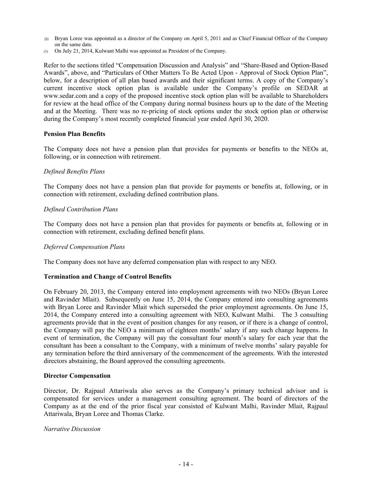- (2) Bryan Loree was appointed as a director of the Company on April 5, 2011 and as Chief Financial Officer of the Company on the same date.
- (3) On July 21, 2014, Kulwant Malhi was appointed as President of the Company.

Refer to the sections titled "Compensation Discussion and Analysis" and "Share-Based and Option-Based Awards", above, and "Particulars of Other Matters To Be Acted Upon - Approval of Stock Option Plan", below, for a description of all plan based awards and their significant terms. A copy of the Company's current incentive stock option plan is available under the Company's profile on SEDAR at www.sedar.com and a copy of the proposed incentive stock option plan will be available to Shareholders for review at the head office of the Company during normal business hours up to the date of the Meeting and at the Meeting. There was no re-pricing of stock options under the stock option plan or otherwise during the Company's most recently completed financial year ended April 30, 2020.

#### **Pension Plan Benefits**

The Company does not have a pension plan that provides for payments or benefits to the NEOs at, following, or in connection with retirement.

# *Defined Benefits Plans*

The Company does not have a pension plan that provide for payments or benefits at, following, or in connection with retirement, excluding defined contribution plans.

# *Defined Contribution Plans*

The Company does not have a pension plan that provides for payments or benefits at, following or in connection with retirement, excluding defined benefit plans.

# *Deferred Compensation Plans*

The Company does not have any deferred compensation plan with respect to any NEO.

#### **Termination and Change of Control Benefits**

On February 20, 2013, the Company entered into employment agreements with two NEOs (Bryan Loree and Ravinder Mlait). Subsequently on June 15, 2014, the Company entered into consulting agreements with Bryan Loree and Ravinder Mlait which superseded the prior employment agreements. On June 15, 2014, the Company entered into a consulting agreement with NEO, Kulwant Malhi. The 3 consulting agreements provide that in the event of position changes for any reason, or if there is a change of control, the Company will pay the NEO a minimum of eighteen months' salary if any such change happens. In event of termination, the Company will pay the consultant four month's salary for each year that the consultant has been a consultant to the Company, with a minimum of twelve months' salary payable for any termination before the third anniversary of the commencement of the agreements. With the interested directors abstaining, the Board approved the consulting agreements.

#### **Director Compensation**

Director, Dr. Rajpaul Attariwala also serves as the Company's primary technical advisor and is compensated for services under a management consulting agreement. The board of directors of the Company as at the end of the prior fiscal year consisted of Kulwant Malhi, Ravinder Mlait, Rajpaul Attariwala, Bryan Loree and Thomas Clarke.

#### *Narrative Discussion*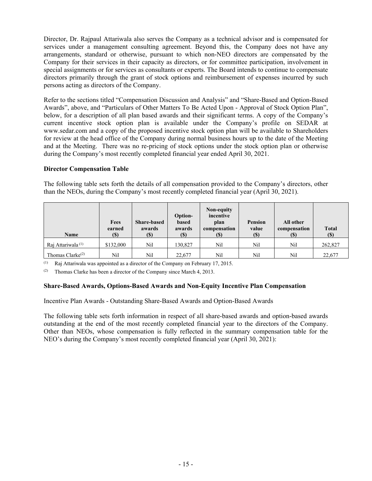Director, Dr. Rajpaul Attariwala also serves the Company as a technical advisor and is compensated for services under a management consulting agreement. Beyond this, the Company does not have any arrangements, standard or otherwise, pursuant to which non-NEO directors are compensated by the Company for their services in their capacity as directors, or for committee participation, involvement in special assignments or for services as consultants or experts. The Board intends to continue to compensate directors primarily through the grant of stock options and reimbursement of expenses incurred by such persons acting as directors of the Company.

Refer to the sections titled "Compensation Discussion and Analysis" and "Share-Based and Option-Based Awards", above, and "Particulars of Other Matters To Be Acted Upon - Approval of Stock Option Plan", below, for a description of all plan based awards and their significant terms. A copy of the Company's current incentive stock option plan is available under the Company's profile on SEDAR at www.sedar.com and a copy of the proposed incentive stock option plan will be available to Shareholders for review at the head office of the Company during normal business hours up to the date of the Meeting and at the Meeting. There was no re-pricing of stock options under the stock option plan or otherwise during the Company's most recently completed financial year ended April 30, 2021.

# **Director Compensation Table**

The following table sets forth the details of all compensation provided to the Company's directors, other than the NEOs, during the Company's most recently completed financial year (April 30, 2021).

| <b>Name</b>                   | Fees<br>earned<br>(\$) | <b>Share-based</b><br>awards<br>(\$) | Option-<br>based<br>awards<br><b>(\$)</b> | Non-equity<br>incentive<br>plan<br>compensation | <b>Pension</b><br>value<br>$(\$\)$ | All other<br>compensation<br>$\left( \mathbb{S}\right)$ | <b>Total</b><br>(S) |
|-------------------------------|------------------------|--------------------------------------|-------------------------------------------|-------------------------------------------------|------------------------------------|---------------------------------------------------------|---------------------|
| Rai Attariwala <sup>(1)</sup> | \$132,000              | Nil                                  | 130.827                                   | Nil                                             | Nil                                | Nil                                                     | 262,827             |
| Thomas Clarke <sup>(2)</sup>  | Nil                    | Nil                                  | 22,677                                    | Nil                                             | Nil                                | Nil                                                     | 22,677              |

(1) Raj Attariwala was appointed as a director of the Company on February 17, 2015.

(2) Thomas Clarke has been a director of the Company since March 4, 2013.

# **Share-Based Awards, Options-Based Awards and Non-Equity Incentive Plan Compensation**

Incentive Plan Awards - Outstanding Share-Based Awards and Option-Based Awards

The following table sets forth information in respect of all share-based awards and option-based awards outstanding at the end of the most recently completed financial year to the directors of the Company. Other than NEOs, whose compensation is fully reflected in the summary compensation table for the NEO's during the Company's most recently completed financial year (April 30, 2021):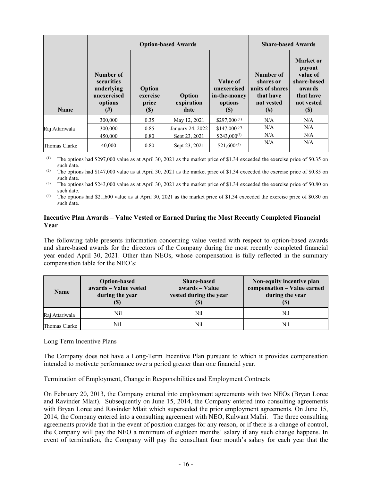|                |                                                                              | <b>Option-based Awards</b>            | <b>Share-based Awards</b>    |                                                           |                                                                                |                                                                                                                          |
|----------------|------------------------------------------------------------------------------|---------------------------------------|------------------------------|-----------------------------------------------------------|--------------------------------------------------------------------------------|--------------------------------------------------------------------------------------------------------------------------|
| <b>Name</b>    | Number of<br>securities<br>underlying<br>unexercised<br>options<br>$^{(\#)}$ | Option<br>exercise<br>price<br>$(\$)$ | Option<br>expiration<br>date | Value of<br>unexercised<br>in-the-money<br>options<br>(S) | Number of<br>shares or<br>units of shares<br>that have<br>not vested<br>$(\#)$ | <b>Market</b> or<br>payout<br>value of<br>share-based<br>awards<br>that have<br>not vested<br>$\left( \mathbb{S}\right)$ |
|                | 300,000                                                                      | 0.35                                  | May 12, 2021                 | \$297,000 <sup><math>(1)</math></sup>                     | N/A                                                                            | N/A                                                                                                                      |
| Raj Attariwala | 300,000                                                                      | 0.85                                  | January 24, 2022             | $$147,000^{(2)}$                                          | N/A                                                                            | N/A                                                                                                                      |
|                | 450,000                                                                      | 0.80                                  | Sept 23, 2021                | $$243,000^{(3)}$                                          | N/A                                                                            | N/A                                                                                                                      |
| Thomas Clarke  | 40,000                                                                       | 0.80                                  | Sept 23, 2021                | \$21,600 $(4)$                                            | N/A                                                                            | N/A                                                                                                                      |

(1) The options had \$297,000 value as at April 30, 2021 as the market price of \$1.34 exceeded the exercise price of \$0.35 on such date.

(2) The options had \$147,000 value as at April 30, 2021 as the market price of \$1.34 exceeded the exercise price of \$0.85 on such date.

(3) The options had \$243,000 value as at April 30, 2021 as the market price of \$1.34 exceeded the exercise price of \$0.80 on such date.

(4) The options had \$21,600 value as at April 30, 2021 as the market price of \$1.34 exceeded the exercise price of \$0.80 on such date.

# **Incentive Plan Awards – Value Vested or Earned During the Most Recently Completed Financial Year**

The following table presents information concerning value vested with respect to option-based awards and share-based awards for the directors of the Company during the most recently completed financial year ended April 30, 2021. Other than NEOs, whose compensation is fully reflected in the summary compensation table for the NEO's:

| <b>Name</b>    | <b>Option-based</b><br>awards - Value vested<br>during the year | <b>Share-based</b><br>awards – Value<br>vested during the year<br>(S) | Non-equity incentive plan<br>compensation - Value earned<br>during the year |
|----------------|-----------------------------------------------------------------|-----------------------------------------------------------------------|-----------------------------------------------------------------------------|
| Raj Attariwala | Nil                                                             | Nil                                                                   | Nil                                                                         |
| Thomas Clarke  | Nil                                                             | Ni                                                                    | Nil                                                                         |

Long Term Incentive Plans

The Company does not have a Long-Term Incentive Plan pursuant to which it provides compensation intended to motivate performance over a period greater than one financial year.

Termination of Employment, Change in Responsibilities and Employment Contracts

On February 20, 2013, the Company entered into employment agreements with two NEOs (Bryan Loree and Ravinder Mlait). Subsequently on June 15, 2014, the Company entered into consulting agreements with Bryan Loree and Ravinder Mlait which superseded the prior employment agreements. On June 15, 2014, the Company entered into a consulting agreement with NEO, Kulwant Malhi. The three consulting agreements provide that in the event of position changes for any reason, or if there is a change of control, the Company will pay the NEO a minimum of eighteen months' salary if any such change happens. In event of termination, the Company will pay the consultant four month's salary for each year that the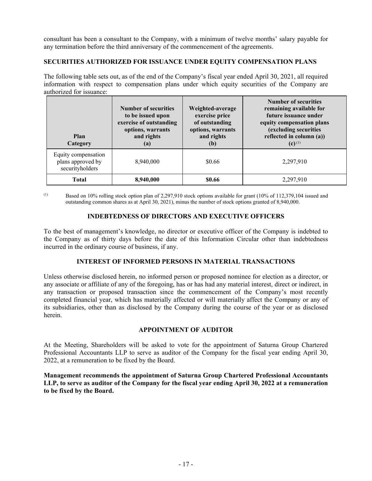consultant has been a consultant to the Company, with a minimum of twelve months' salary payable for any termination before the third anniversary of the commencement of the agreements.

# **SECURITIES AUTHORIZED FOR ISSUANCE UNDER EQUITY COMPENSATION PLANS**

The following table sets out, as of the end of the Company's fiscal year ended April 30, 2021, all required information with respect to compensation plans under which equity securities of the Company are authorized for issuance:

| Plan<br>Category                                            | <b>Number of securities</b><br>to be issued upon<br>exercise of outstanding<br>options, warrants<br>and rights<br>$\left( a\right)$ | Weighted-average<br>exercise price<br>of outstanding<br>options, warrants<br>and rights<br>(b) | <b>Number of securities</b><br>remaining available for<br>future issuance under<br>equity compensation plans<br>(excluding securities<br>reflected in column (a))<br>$(c)$ <sup>(1)</sup> |
|-------------------------------------------------------------|-------------------------------------------------------------------------------------------------------------------------------------|------------------------------------------------------------------------------------------------|-------------------------------------------------------------------------------------------------------------------------------------------------------------------------------------------|
| Equity compensation<br>plans approved by<br>securityholders | 8,940,000                                                                                                                           | \$0.66                                                                                         | 2,297,910                                                                                                                                                                                 |
| <b>Total</b>                                                | 8,940,000                                                                                                                           | \$0.66                                                                                         | 2,297,910                                                                                                                                                                                 |

(1) Based on 10% rolling stock option plan of 2,297,910 stock options available for grant  $(10\% \text{ of } 112,379,104 \text{ issued}$  and outstanding common shares as at April 30, 2021), minus the number of stock options granted of 8,940,000.

# **INDEBTEDNESS OF DIRECTORS AND EXECUTIVE OFFICERS**

To the best of management's knowledge, no director or executive officer of the Company is indebted to the Company as of thirty days before the date of this Information Circular other than indebtedness incurred in the ordinary course of business, if any.

# **INTEREST OF INFORMED PERSONS IN MATERIAL TRANSACTIONS**

Unless otherwise disclosed herein, no informed person or proposed nominee for election as a director, or any associate or affiliate of any of the foregoing, has or has had any material interest, direct or indirect, in any transaction or proposed transaction since the commencement of the Company's most recently completed financial year, which has materially affected or will materially affect the Company or any of its subsidiaries, other than as disclosed by the Company during the course of the year or as disclosed herein.

# **APPOINTMENT OF AUDITOR**

At the Meeting, Shareholders will be asked to vote for the appointment of Saturna Group Chartered Professional Accountants LLP to serve as auditor of the Company for the fiscal year ending April 30, 2022, at a remuneration to be fixed by the Board.

**Management recommends the appointment of Saturna Group Chartered Professional Accountants LLP, to serve as auditor of the Company for the fiscal year ending April 30, 2022 at a remuneration to be fixed by the Board.**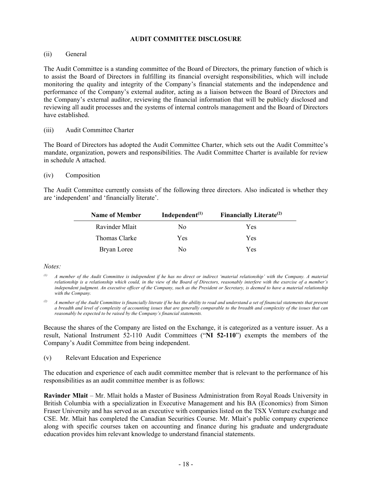# **AUDIT COMMITTEE DISCLOSURE**

# (ii) General

The Audit Committee is a standing committee of the Board of Directors, the primary function of which is to assist the Board of Directors in fulfilling its financial oversight responsibilities, which will include monitoring the quality and integrity of the Company's financial statements and the independence and performance of the Company's external auditor, acting as a liaison between the Board of Directors and the Company's external auditor, reviewing the financial information that will be publicly disclosed and reviewing all audit processes and the systems of internal controls management and the Board of Directors have established.

# (iii) Audit Committee Charter

The Board of Directors has adopted the Audit Committee Charter, which sets out the Audit Committee's mandate, organization, powers and responsibilities. The Audit Committee Charter is available for review in schedule A attached.

# (iv) Composition

The Audit Committee currently consists of the following three directors. Also indicated is whether they are 'independent' and 'financially literate'.

| <b>Name of Member</b> | Independent $(1)$ | Financially Literate <sup>(2)</sup> |
|-----------------------|-------------------|-------------------------------------|
| Ravinder Mlait        | No                | Yes                                 |
| Thomas Clarke         | Yes               | Yes                                 |
| Bryan Loree           | Nο                | Yes                                 |

#### *Notes:*

*(2) A member of the Audit Committee is financially literate if he has the ability to read and understand a set of financial statements that present a breadth and level of complexity of accounting issues that are generally comparable to the breadth and complexity of the issues that can reasonably be expected to be raised by the Company's financial statements.*

Because the shares of the Company are listed on the Exchange, it is categorized as a venture issuer. As a result, National Instrument 52-110 Audit Committees ("**NI 52-110**") exempts the members of the Company's Audit Committee from being independent.

# (v) Relevant Education and Experience

The education and experience of each audit committee member that is relevant to the performance of his responsibilities as an audit committee member is as follows:

**Ravinder Mlait** – Mr. Mlait holds a Master of Business Administration from Royal Roads University in British Columbia with a specialization in Executive Management and his BA (Economics) from Simon Fraser University and has served as an executive with companies listed on the TSX Venture exchange and CSE. Mr. Mlait has completed the Canadian Securities Course. Mr. Mlait's public company experience along with specific courses taken on accounting and finance during his graduate and undergraduate education provides him relevant knowledge to understand financial statements.

*<sup>(1)</sup> A member of the Audit Committee is independent if he has no direct or indirect 'material relationship' with the Company. A material relationship is a relationship which could, in the view of the Board of Directors, reasonably interfere with the exercise of a member's independent judgment. An executive officer of the Company, such as the President or Secretary, is deemed to have a material relationship with the Company.*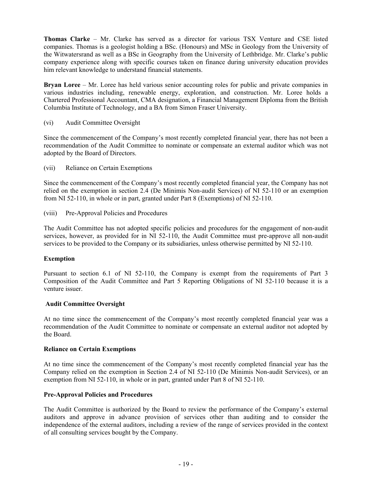**Thomas Clarke** – Mr. Clarke has served as a director for various TSX Venture and CSE listed companies. Thomas is a geologist holding a BSc. (Honours) and MSc in Geology from the University of the Witwatersrand as well as a BSc in Geography from the University of Lethbridge. Mr. Clarke's public company experience along with specific courses taken on finance during university education provides him relevant knowledge to understand financial statements.

**Bryan Loree** – Mr. Loree has held various senior accounting roles for public and private companies in various industries including, renewable energy, exploration, and construction. Mr. Loree holds a Chartered Professional Accountant, CMA designation, a Financial Management Diploma from the British Columbia Institute of Technology, and a BA from Simon Fraser University.

(vi) Audit Committee Oversight

Since the commencement of the Company's most recently completed financial year, there has not been a recommendation of the Audit Committee to nominate or compensate an external auditor which was not adopted by the Board of Directors.

(vii) Reliance on Certain Exemptions

Since the commencement of the Company's most recently completed financial year, the Company has not relied on the exemption in section 2.4 (De Minimis Non-audit Services) of NI 52-110 or an exemption from NI 52-110, in whole or in part, granted under Part 8 (Exemptions) of NI 52-110.

(viii) Pre-Approval Policies and Procedures

The Audit Committee has not adopted specific policies and procedures for the engagement of non-audit services, however, as provided for in NI 52-110, the Audit Committee must pre-approve all non-audit services to be provided to the Company or its subsidiaries, unless otherwise permitted by NI 52-110.

# **Exemption**

Pursuant to section 6.1 of NI 52-110, the Company is exempt from the requirements of Part 3 Composition of the Audit Committee and Part 5 Reporting Obligations of NI 52-110 because it is a venture issuer.

# **Audit Committee Oversight**

At no time since the commencement of the Company's most recently completed financial year was a recommendation of the Audit Committee to nominate or compensate an external auditor not adopted by the Board.

# **Reliance on Certain Exemptions**

At no time since the commencement of the Company's most recently completed financial year has the Company relied on the exemption in Section 2.4 of NI 52-110 (De Minimis Non-audit Services), or an exemption from NI 52-110, in whole or in part, granted under Part 8 of NI 52-110.

# **Pre-Approval Policies and Procedures**

The Audit Committee is authorized by the Board to review the performance of the Company's external auditors and approve in advance provision of services other than auditing and to consider the independence of the external auditors, including a review of the range of services provided in the context of all consulting services bought by the Company.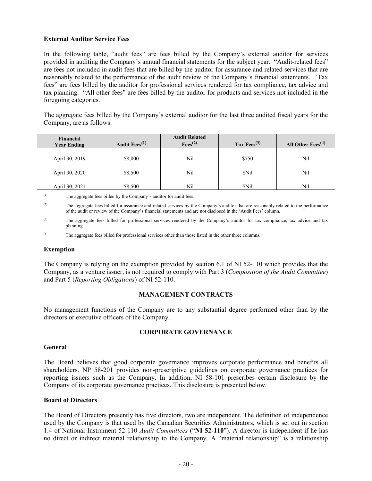# **External Auditor Service Fees**

In the following table, "audit fees" are fees billed by the Company's external auditor for services provided in auditing the Company's annual financial statements for the subject year. "Audit-related fees" are fees not included in audit fees that are billed by the auditor for assurance and related services that are reasonably related to the performance of the audit review of the Company's financial statements. "Tax fees" are fees billed by the auditor for professional services rendered for tax compliance, tax advice and tax planning. "All other fees" are fees billed by the auditor for products and services not included in the foregoing categories.

The aggregate fees billed by the Company's external auditor for the last three audited fiscal years for the Company, are as follows:

| Financial<br><b>Year Ending</b> | Audit Fees <sup>(1)</sup> | <b>Audit Related</b><br>$Fees^{(2)}$ | Tax Fees $^{(3)}$ | All Other Fees $(4)$ |
|---------------------------------|---------------------------|--------------------------------------|-------------------|----------------------|
| April 30, 2019                  | \$8,000                   | Nil                                  | \$750             | Nil                  |
| April 30, 2020                  | \$8,500                   | Nil                                  | <b>SNil</b>       | Nil                  |
| April 30, 2021                  | \$8,500                   | Nil                                  | \$Nil             | Nil                  |

(1) The aggregate fees billed by the Company's auditor for audit fees.

# **Exemption**

The Company is relying on the exemption provided by section 6.1 of NI 52-110 which provides that the Company, as a venture issuer, is not required to comply with Part 3 (*Composition of the Audit Committee*) and Part 5 (*Reporting Obligations*) of NI 52-110.

# **MANAGEMENT CONTRACTS**

No management functions of the Company are to any substantial degree performed other than by the directors or executive officers of the Company.

# **CORPORATE GOVERNANCE**

# **General**

The Board believes that good corporate governance improves corporate performance and benefits all shareholders. NP 58-201 provides non-prescriptive guidelines on corporate governance practices for reporting issuers such as the Company. In addition, NI 58-101 prescribes certain disclosure by the Company of its corporate governance practices. This disclosure is presented below.

# **Board of Directors**

The Board of Directors presently has five directors, two are independent. The definition of independence used by the Company is that used by the Canadian Securities Administrators, which is set out in section 1.4 of National Instrument 52-110 *Audit Committees* ("**NI 52-110**"). A director is independent if he has no direct or indirect material relationship to the Company. A "material relationship" is a relationship

<sup>(2)</sup> The aggregate fees billed for assurance and related services by the Company's auditor that are reasonably related to the performance of the audit or review of the Company's financial statements and are not disclosed in the 'Audit Fees' column.

<sup>(3)</sup> The aggregate fees billed for professional services rendered by the Company's auditor for tax compliance, tax advice and tax planning.

<sup>(4)</sup> The aggregate fees billed for professional services other than those listed in the other three columns.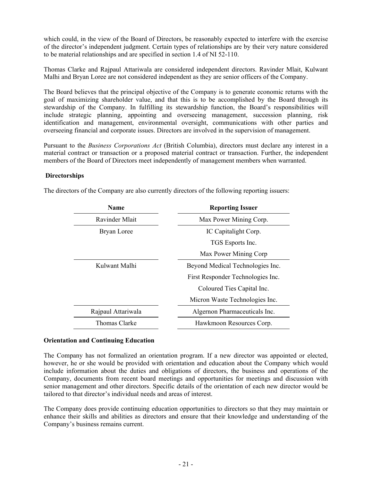which could, in the view of the Board of Directors, be reasonably expected to interfere with the exercise of the director's independent judgment. Certain types of relationships are by their very nature considered to be material relationships and are specified in section 1.4 of NI 52-110.

Thomas Clarke and Rajpaul Attariwala are considered independent directors. Ravinder Mlait, Kulwant Malhi and Bryan Loree are not considered independent as they are senior officers of the Company.

The Board believes that the principal objective of the Company is to generate economic returns with the goal of maximizing shareholder value, and that this is to be accomplished by the Board through its stewardship of the Company. In fulfilling its stewardship function, the Board's responsibilities will include strategic planning, appointing and overseeing management, succession planning, risk identification and management, environmental oversight, communications with other parties and overseeing financial and corporate issues. Directors are involved in the supervision of management.

Pursuant to the *Business Corporations Act* (British Columbia), directors must declare any interest in a material contract or transaction or a proposed material contract or transaction. Further, the independent members of the Board of Directors meet independently of management members when warranted.

# **Directorships**

| <b>Name</b>        | <b>Reporting Issuer</b>           |  |
|--------------------|-----------------------------------|--|
| Ravinder Mlait     | Max Power Mining Corp.            |  |
| Bryan Loree        | IC Capitalight Corp.              |  |
|                    | TGS Esports Inc.                  |  |
|                    | Max Power Mining Corp             |  |
| Kulwant Malhi      | Beyond Medical Technologies Inc.  |  |
|                    | First Responder Technologies Inc. |  |
|                    | Coloured Ties Capital Inc.        |  |
|                    | Micron Waste Technologies Inc.    |  |
| Rajpaul Attariwala | Algernon Pharmaceuticals Inc.     |  |
| Thomas Clarke      | Hawkmoon Resources Corp.          |  |

The directors of the Company are also currently directors of the following reporting issuers:

# **Orientation and Continuing Education**

The Company has not formalized an orientation program. If a new director was appointed or elected, however, he or she would be provided with orientation and education about the Company which would include information about the duties and obligations of directors, the business and operations of the Company, documents from recent board meetings and opportunities for meetings and discussion with senior management and other directors. Specific details of the orientation of each new director would be tailored to that director's individual needs and areas of interest.

The Company does provide continuing education opportunities to directors so that they may maintain or enhance their skills and abilities as directors and ensure that their knowledge and understanding of the Company's business remains current.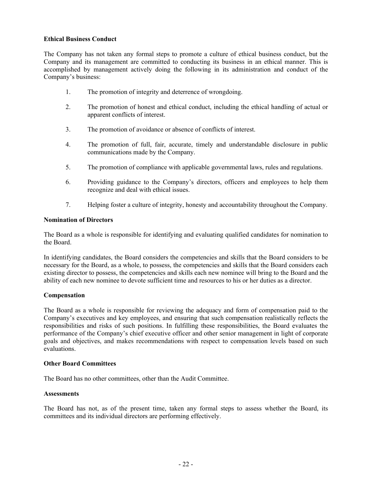# **Ethical Business Conduct**

The Company has not taken any formal steps to promote a culture of ethical business conduct, but the Company and its management are committed to conducting its business in an ethical manner. This is accomplished by management actively doing the following in its administration and conduct of the Company's business:

- 1. The promotion of integrity and deterrence of wrongdoing.
- 2. The promotion of honest and ethical conduct, including the ethical handling of actual or apparent conflicts of interest.
- 3. The promotion of avoidance or absence of conflicts of interest.
- 4. The promotion of full, fair, accurate, timely and understandable disclosure in public communications made by the Company.
- 5. The promotion of compliance with applicable governmental laws, rules and regulations.
- 6. Providing guidance to the Company's directors, officers and employees to help them recognize and deal with ethical issues.
- 7. Helping foster a culture of integrity, honesty and accountability throughout the Company.

#### **Nomination of Directors**

The Board as a whole is responsible for identifying and evaluating qualified candidates for nomination to the Board.

In identifying candidates, the Board considers the competencies and skills that the Board considers to be necessary for the Board, as a whole, to possess, the competencies and skills that the Board considers each existing director to possess, the competencies and skills each new nominee will bring to the Board and the ability of each new nominee to devote sufficient time and resources to his or her duties as a director.

#### **Compensation**

The Board as a whole is responsible for reviewing the adequacy and form of compensation paid to the Company's executives and key employees, and ensuring that such compensation realistically reflects the responsibilities and risks of such positions. In fulfilling these responsibilities, the Board evaluates the performance of the Company's chief executive officer and other senior management in light of corporate goals and objectives, and makes recommendations with respect to compensation levels based on such evaluations.

#### **Other Board Committees**

The Board has no other committees, other than the Audit Committee.

#### **Assessments**

The Board has not, as of the present time, taken any formal steps to assess whether the Board, its committees and its individual directors are performing effectively.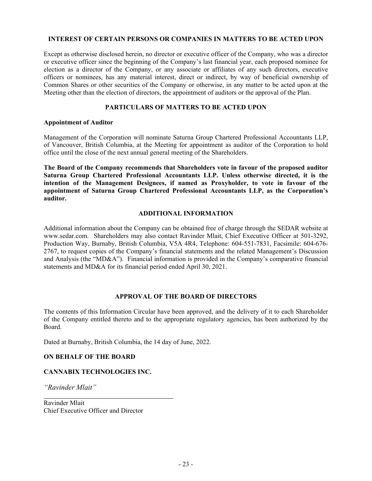#### **INTEREST OF CERTAIN PERSONS OR COMPANIES IN MATTERS TO BE ACTED UPON**

Except as otherwise disclosed herein, no director or executive officer of the Company, who was a director or executive officer since the beginning of the Company's last financial year, each proposed nominee for election as a director of the Company, or any associate or affiliates of any such directors, executive officers or nominees, has any material interest, direct or indirect, by way of beneficial ownership of Common Shares or other securities of the Company or otherwise, in any matter to be acted upon at the Meeting other than the election of directors, the appointment of auditors or the approval of the Plan.

# **PARTICULARS OF MATTERS TO BE ACTED UPON**

#### **Appointment of Auditor**

Management of the Corporation will nominate Saturna Group Chartered Professional Accountants LLP, of Vancouver, British Columbia, at the Meeting for appointment as auditor of the Corporation to hold office until the close of the next annual general meeting of the Shareholders.

**The Board of the Company recommends that Shareholders vote in favour of the proposed auditor Saturna Group Chartered Professional Accountants LLP. Unless otherwise directed, it is the intention of the Management Designees, if named as Proxyholder, to vote in favour of the appointment of Saturna Group Chartered Professional Accountants LLP, as the Corporation's auditor.** 

#### **ADDITIONAL INFORMATION**

Additional information about the Company can be obtained free of charge through the SEDAR website at www.sedar.com. Shareholders may also contact Ravinder Mlait, Chief Executive Officer at 501-3292, Production Way, Burnaby, British Columbia, V5A 4R4, Telephone: 604-551-7831, Facsimile: 604-676- 2767, to request copies of the Company's financial statements and the related Management's Discussion and Analysis (the "MD&A"). Financial information is provided in the Company's comparative financial statements and MD&A for its financial period ended April 30, 2021.

#### **APPROVAL OF THE BOARD OF DIRECTORS**

The contents of this Information Circular have been approved, and the delivery of it to each Shareholder of the Company entitled thereto and to the appropriate regulatory agencies, has been authorized by the Board.

Dated at Burnaby, British Columbia, the 14 day of June, 2022.

# **ON BEHALF OF THE BOARD**

# **CANNABIX TECHNOLOGIES INC.**

*"Ravinder Mlait"*

Ravinder Mlait Chief Executive Officer and Director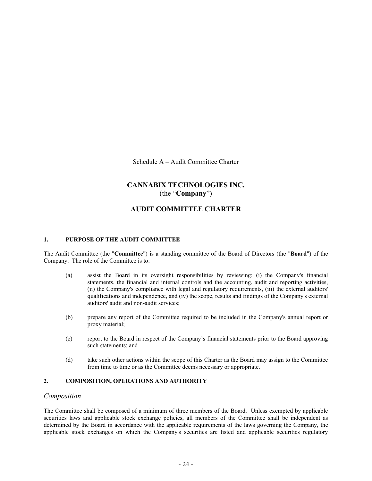Schedule A – Audit Committee Charter

# **CANNABIX TECHNOLOGIES INC.** (the "**Company**")

# **AUDIT COMMITTEE CHARTER**

#### **1. PURPOSE OF THE AUDIT COMMITTEE**

The Audit Committee (the "**Committee**") is a standing committee of the Board of Directors (the "**Board**") of the Company. The role of the Committee is to:

- (a) assist the Board in its oversight responsibilities by reviewing: (i) the Company's financial statements, the financial and internal controls and the accounting, audit and reporting activities, (ii) the Company's compliance with legal and regulatory requirements, (iii) the external auditors' qualifications and independence, and (iv) the scope, results and findings of the Company's external auditors' audit and non-audit services;
- (b) prepare any report of the Committee required to be included in the Company's annual report or proxy material;
- (c) report to the Board in respect of the Company's financial statements prior to the Board approving such statements; and
- (d) take such other actions within the scope of this Charter as the Board may assign to the Committee from time to time or as the Committee deems necessary or appropriate.

# **2. COMPOSITION, OPERATIONS AND AUTHORITY**

#### *Composition*

The Committee shall be composed of a minimum of three members of the Board. Unless exempted by applicable securities laws and applicable stock exchange policies, all members of the Committee shall be independent as determined by the Board in accordance with the applicable requirements of the laws governing the Company, the applicable stock exchanges on which the Company's securities are listed and applicable securities regulatory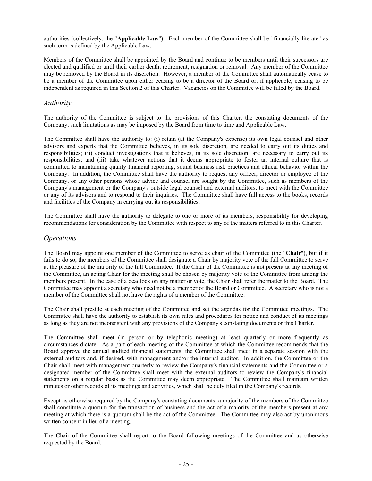authorities (collectively, the "**Applicable Law**"). Each member of the Committee shall be "financially literate" as such term is defined by the Applicable Law.

Members of the Committee shall be appointed by the Board and continue to be members until their successors are elected and qualified or until their earlier death, retirement, resignation or removal. Any member of the Committee may be removed by the Board in its discretion. However, a member of the Committee shall automatically cease to be a member of the Committee upon either ceasing to be a director of the Board or, if applicable, ceasing to be independent as required in this Section 2 of this Charter. Vacancies on the Committee will be filled by the Board.

#### *Authority*

The authority of the Committee is subject to the provisions of this Charter, the constating documents of the Company, such limitations as may be imposed by the Board from time to time and Applicable Law.

The Committee shall have the authority to: (i) retain (at the Company's expense) its own legal counsel and other advisors and experts that the Committee believes, in its sole discretion, are needed to carry out its duties and responsibilities; (ii) conduct investigations that it believes, in its sole discretion, are necessary to carry out its responsibilities; and (iii) take whatever actions that it deems appropriate to foster an internal culture that is committed to maintaining quality financial reporting, sound business risk practices and ethical behavior within the Company. In addition, the Committee shall have the authority to request any officer, director or employee of the Company, or any other persons whose advice and counsel are sought by the Committee, such as members of the Company's management or the Company's outside legal counsel and external auditors, to meet with the Committee or any of its advisors and to respond to their inquiries. The Committee shall have full access to the books, records and facilities of the Company in carrying out its responsibilities.

The Committee shall have the authority to delegate to one or more of its members, responsibility for developing recommendations for consideration by the Committee with respect to any of the matters referred to in this Charter.

#### *Operations*

The Board may appoint one member of the Committee to serve as chair of the Committee (the "**Chair**"), but if it fails to do so, the members of the Committee shall designate a Chair by majority vote of the full Committee to serve at the pleasure of the majority of the full Committee. If the Chair of the Committee is not present at any meeting of the Committee, an acting Chair for the meeting shall be chosen by majority vote of the Committee from among the members present. In the case of a deadlock on any matter or vote, the Chair shall refer the matter to the Board. The Committee may appoint a secretary who need not be a member of the Board or Committee. A secretary who is not a member of the Committee shall not have the rights of a member of the Committee.

The Chair shall preside at each meeting of the Committee and set the agendas for the Committee meetings. The Committee shall have the authority to establish its own rules and procedures for notice and conduct of its meetings as long as they are not inconsistent with any provisions of the Company's constating documents or this Charter.

The Committee shall meet (in person or by telephonic meeting) at least quarterly or more frequently as circumstances dictate. As a part of each meeting of the Committee at which the Committee recommends that the Board approve the annual audited financial statements, the Committee shall meet in a separate session with the external auditors and, if desired, with management and/or the internal auditor. In addition, the Committee or the Chair shall meet with management quarterly to review the Company's financial statements and the Committee or a designated member of the Committee shall meet with the external auditors to review the Company's financial statements on a regular basis as the Committee may deem appropriate. The Committee shall maintain written minutes or other records of its meetings and activities, which shall be duly filed in the Company's records.

Except as otherwise required by the Company's constating documents, a majority of the members of the Committee shall constitute a quorum for the transaction of business and the act of a majority of the members present at any meeting at which there is a quorum shall be the act of the Committee. The Committee may also act by unanimous written consent in lieu of a meeting.

The Chair of the Committee shall report to the Board following meetings of the Committee and as otherwise requested by the Board.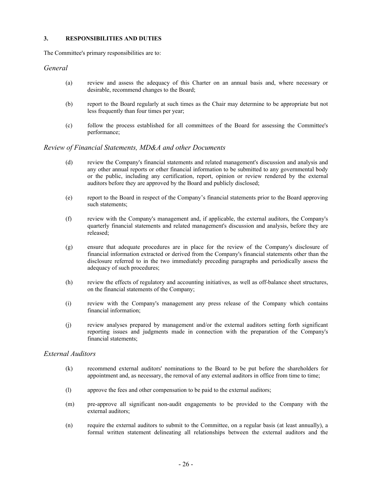#### **3. RESPONSIBILITIES AND DUTIES**

The Committee's primary responsibilities are to:

#### *General*

- (a) review and assess the adequacy of this Charter on an annual basis and, where necessary or desirable, recommend changes to the Board;
- (b) report to the Board regularly at such times as the Chair may determine to be appropriate but not less frequently than four times per year;
- (c) follow the process established for all committees of the Board for assessing the Committee's performance;

#### *Review of Financial Statements, MD&A and other Documents*

- (d) review the Company's financial statements and related management's discussion and analysis and any other annual reports or other financial information to be submitted to any governmental body or the public, including any certification, report, opinion or review rendered by the external auditors before they are approved by the Board and publicly disclosed;
- (e) report to the Board in respect of the Company's financial statements prior to the Board approving such statements;
- (f) review with the Company's management and, if applicable, the external auditors, the Company's quarterly financial statements and related management's discussion and analysis, before they are released;
- (g) ensure that adequate procedures are in place for the review of the Company's disclosure of financial information extracted or derived from the Company's financial statements other than the disclosure referred to in the two immediately preceding paragraphs and periodically assess the adequacy of such procedures;
- (h) review the effects of regulatory and accounting initiatives, as well as off-balance sheet structures, on the financial statements of the Company;
- (i) review with the Company's management any press release of the Company which contains financial information;
- (j) review analyses prepared by management and/or the external auditors setting forth significant reporting issues and judgments made in connection with the preparation of the Company's financial statements;

#### *External Auditors*

- (k) recommend external auditors' nominations to the Board to be put before the shareholders for appointment and, as necessary, the removal of any external auditors in office from time to time;
- (l) approve the fees and other compensation to be paid to the external auditors;
- (m) pre-approve all significant non-audit engagements to be provided to the Company with the external auditors;
- (n) require the external auditors to submit to the Committee, on a regular basis (at least annually), a formal written statement delineating all relationships between the external auditors and the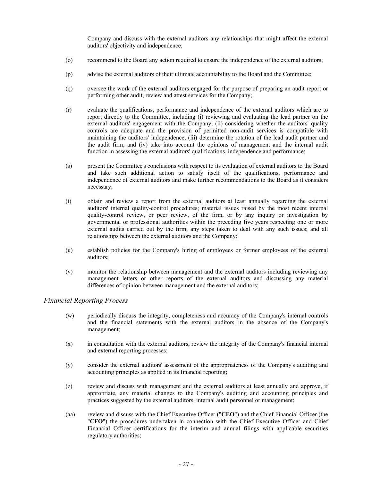Company and discuss with the external auditors any relationships that might affect the external auditors' objectivity and independence;

- (o) recommend to the Board any action required to ensure the independence of the external auditors;
- (p) advise the external auditors of their ultimate accountability to the Board and the Committee;
- (q) oversee the work of the external auditors engaged for the purpose of preparing an audit report or performing other audit, review and attest services for the Company;
- (r) evaluate the qualifications, performance and independence of the external auditors which are to report directly to the Committee, including (i) reviewing and evaluating the lead partner on the external auditors' engagement with the Company, (ii) considering whether the auditors' quality controls are adequate and the provision of permitted non-audit services is compatible with maintaining the auditors' independence, (iii) determine the rotation of the lead audit partner and the audit firm, and (iv) take into account the opinions of management and the internal audit function in assessing the external auditors' qualifications, independence and performance;
- (s) present the Committee's conclusions with respect to its evaluation of external auditors to the Board and take such additional action to satisfy itself of the qualifications, performance and independence of external auditors and make further recommendations to the Board as it considers necessary;
- (t) obtain and review a report from the external auditors at least annually regarding the external auditors' internal quality-control procedures; material issues raised by the most recent internal quality-control review, or peer review, of the firm, or by any inquiry or investigation by governmental or professional authorities within the preceding five years respecting one or more external audits carried out by the firm; any steps taken to deal with any such issues; and all relationships between the external auditors and the Company;
- (u) establish policies for the Company's hiring of employees or former employees of the external auditors;
- (v) monitor the relationship between management and the external auditors including reviewing any management letters or other reports of the external auditors and discussing any material differences of opinion between management and the external auditors;

#### *Financial Reporting Process*

- (w) periodically discuss the integrity, completeness and accuracy of the Company's internal controls and the financial statements with the external auditors in the absence of the Company's management;
- (x) in consultation with the external auditors, review the integrity of the Company's financial internal and external reporting processes;
- (y) consider the external auditors' assessment of the appropriateness of the Company's auditing and accounting principles as applied in its financial reporting;
- (z) review and discuss with management and the external auditors at least annually and approve, if appropriate, any material changes to the Company's auditing and accounting principles and practices suggested by the external auditors, internal audit personnel or management;
- (aa) review and discuss with the Chief Executive Officer ("**CEO**") and the Chief Financial Officer (the "**CFO**") the procedures undertaken in connection with the Chief Executive Officer and Chief Financial Officer certifications for the interim and annual filings with applicable securities regulatory authorities;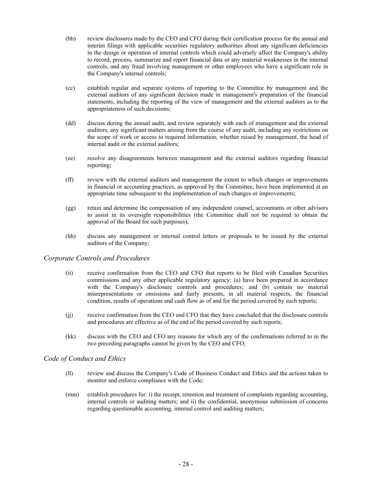- (bb) review disclosures made by the CEO and CFO during their certification process for the annual and interim filings with applicable securities regulatory authorities about any significant deficiencies in the design or operation of internal controls which could adversely affect the Company's ability to record, process, summarize and report financial data or any material weaknesses in the internal controls, and any fraud involving management or other employees who have a significant role in the Company's internal controls;
- (cc) establish regular and separate systems of reporting to the Committee by management and the external auditors of any significant decision made in management's preparation of the financial statements, including the reporting of the view of management and the external auditors as to the appropriateness of such decisions;
- (dd) discuss during the annual audit, and review separately with each of management and the external auditors, any significant matters arising from the course of any audit, including any restrictions on the scope of work or access to required information; whether raised by management, the head of internal audit or the external auditors;
- (ee) resolve any disagreements between management and the external auditors regarding financial reporting;
- (ff) review with the external auditors and management the extent to which changes or improvements in financial or accounting practices, as approved by the Committee, have been implemented at an appropriate time subsequent to the implementation of such changes or improvements;
- (gg) retain and determine the compensation of any independent counsel, accountants or other advisors to assist in its oversight responsibilities (the Committee shall not be required to obtain the approval of the Board for such purposes);
- (hh) discuss any management or internal control letters or proposals to be issued by the external auditors of the Company;

#### *Corporate Controls and Procedures*

- (ii) receive confirmation from the CEO and CFO that reports to be filed with Canadian Securities commissions and any other applicable regulatory agency: (a) have been prepared in accordance with the Company's disclosure controls and procedures; and (b) contain no material misrepresentations or omissions and fairly presents, in all material respects, the financial condition, results of operations and cash flow as of and for the period covered by such reports;
- (jj) receive confirmation from the CEO and CFO that they have concluded that the disclosure controls and procedures are effective as of the end of the period covered by such reports;
- (kk) discuss with the CEO and CFO any reasons for which any of the confirmations referred to in the two preceding paragraphs cannot be given by the CEO and CFO;

#### *Code of Conduct and Ethics*

- (ll) review and discuss the Company's Code of Business Conduct and Ethics and the actions taken to monitor and enforce compliance with the Code;
- (mm) establish procedures for: i) the receipt, retention and treatment of complaints regarding accounting, internal controls or auditing matters; and ii) the confidential, anonymous submission of concerns regarding questionable accounting, internal control and auditing matters;